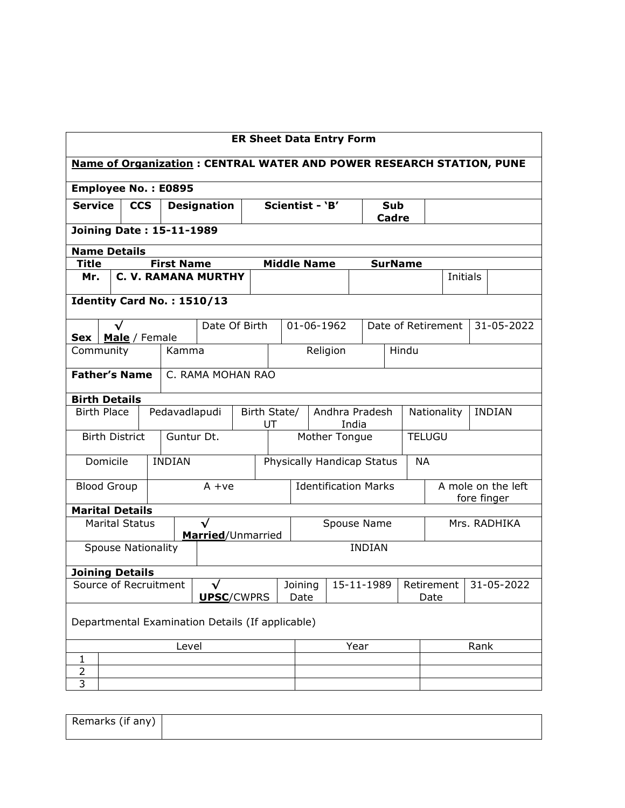| <b>ER Sheet Data Entry Form</b>                                             |                                                  |                   |                                |                 |            |                            |                              |               |                                  |                                   |                    |      |              |
|-----------------------------------------------------------------------------|--------------------------------------------------|-------------------|--------------------------------|-----------------|------------|----------------------------|------------------------------|---------------|----------------------------------|-----------------------------------|--------------------|------|--------------|
| <b>Name of Organization: CENTRAL WATER AND POWER RESEARCH STATION, PUNE</b> |                                                  |                   |                                |                 |            |                            |                              |               |                                  |                                   |                    |      |              |
| <b>Employee No.: E0895</b>                                                  |                                                  |                   |                                |                 |            |                            |                              |               |                                  |                                   |                    |      |              |
| <b>Service</b>                                                              | <b>CCS</b>                                       |                   | <b>Designation</b>             |                 |            | Scientist - 'B'            |                              |               | Sub<br><b>Cadre</b>              |                                   |                    |      |              |
| <b>Joining Date: 15-11-1989</b>                                             |                                                  |                   |                                |                 |            |                            |                              |               |                                  |                                   |                    |      |              |
| <b>Name Details</b>                                                         |                                                  |                   |                                |                 |            |                            |                              |               |                                  |                                   |                    |      |              |
| <b>Title</b>                                                                |                                                  | <b>First Name</b> |                                |                 |            | <b>Middle Name</b>         |                              |               | <b>SurName</b>                   |                                   |                    |      |              |
| Mr.                                                                         |                                                  |                   | <b>C. V. RAMANA MURTHY</b>     |                 |            |                            |                              |               |                                  |                                   | Initials           |      |              |
|                                                                             |                                                  |                   | Identity Card No.: 1510/13     |                 |            |                            |                              |               |                                  |                                   |                    |      |              |
| Sex   Male / Female                                                         | $\checkmark$                                     |                   | Date Of Birth                  |                 |            |                            | 01-06-1962                   |               |                                  |                                   | Date of Retirement |      | 31-05-2022   |
| Community                                                                   |                                                  |                   | Kamma                          |                 |            |                            | Religion                     |               |                                  | Hindu                             |                    |      |              |
| <b>Father's Name</b>                                                        |                                                  |                   | C. RAMA MOHAN RAO              |                 |            |                            |                              |               |                                  |                                   |                    |      |              |
| <b>Birth Details</b>                                                        |                                                  |                   |                                |                 |            |                            |                              |               |                                  |                                   |                    |      |              |
| Pedavadlapudi<br><b>Birth Place</b>                                         |                                                  |                   | Birth State/<br>Andhra Pradesh |                 |            |                            | Nationality<br><b>INDIAN</b> |               |                                  |                                   |                    |      |              |
|                                                                             | <b>Birth District</b>                            |                   | Guntur Dt.                     |                 | UT         | India<br>Mother Tongue     |                              |               | <b>TELUGU</b>                    |                                   |                    |      |              |
|                                                                             |                                                  |                   |                                |                 |            |                            |                              |               |                                  |                                   |                    |      |              |
| Domicile                                                                    |                                                  | <b>INDIAN</b>     |                                |                 |            | Physically Handicap Status |                              |               |                                  | <b>NA</b>                         |                    |      |              |
| <b>Blood Group</b>                                                          |                                                  |                   | $A + ve$                       |                 |            |                            | <b>Identification Marks</b>  |               |                                  | A mole on the left<br>fore finger |                    |      |              |
| <b>Marital Details</b>                                                      |                                                  |                   |                                |                 |            |                            |                              |               |                                  |                                   |                    |      |              |
|                                                                             | <b>Marital Status</b>                            |                   | √<br>Married/Unmarried         |                 |            |                            | Spouse Name                  |               |                                  |                                   |                    |      | Mrs. RADHIKA |
|                                                                             | <b>Spouse Nationality</b>                        |                   |                                |                 |            |                            |                              | <b>INDIAN</b> |                                  |                                   |                    |      |              |
|                                                                             | <b>Joining Details</b>                           |                   |                                |                 |            |                            |                              |               |                                  |                                   |                    |      |              |
| Source of Recruitment<br>√<br><b>UPSC/CWPRS</b>                             |                                                  |                   |                                | Joining<br>Date | 15-11-1989 |                            |                              |               | Retirement<br>31-05-2022<br>Date |                                   |                    |      |              |
|                                                                             | Departmental Examination Details (If applicable) |                   |                                |                 |            |                            |                              |               |                                  |                                   |                    |      |              |
|                                                                             |                                                  |                   | Level                          |                 |            |                            |                              | Year          |                                  |                                   |                    | Rank |              |
| 1                                                                           |                                                  |                   |                                |                 |            |                            |                              |               |                                  |                                   |                    |      |              |
| 2                                                                           |                                                  |                   |                                |                 |            |                            |                              |               |                                  |                                   |                    |      |              |
| 3                                                                           |                                                  |                   |                                |                 |            |                            |                              |               |                                  |                                   |                    |      |              |

| Remarks (if any) |  |
|------------------|--|
|                  |  |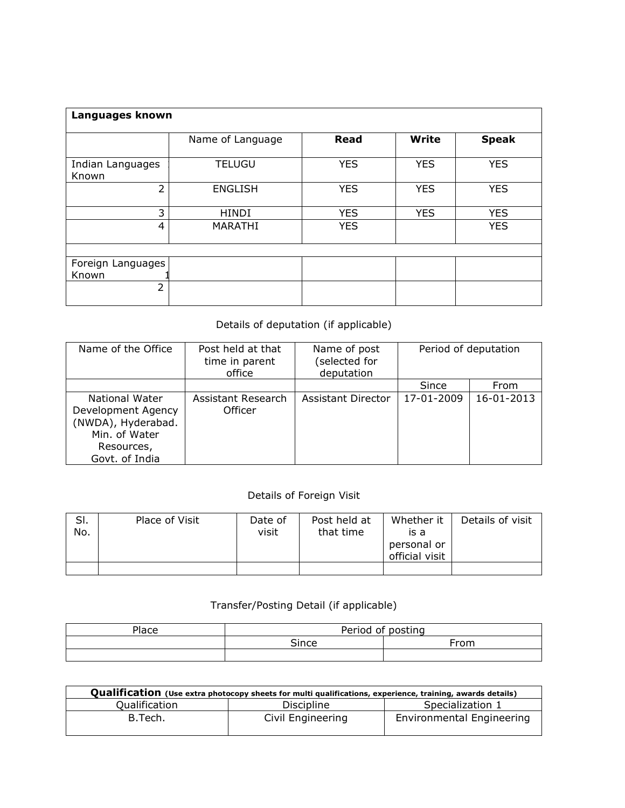| Languages known           |                  |             |              |              |  |  |  |  |  |  |  |
|---------------------------|------------------|-------------|--------------|--------------|--|--|--|--|--|--|--|
|                           | Name of Language | <b>Read</b> | <b>Write</b> | <b>Speak</b> |  |  |  |  |  |  |  |
| Indian Languages<br>Known | <b>TELUGU</b>    | <b>YES</b>  | <b>YES</b>   | <b>YES</b>   |  |  |  |  |  |  |  |
| 2                         | <b>ENGLISH</b>   | <b>YES</b>  | <b>YES</b>   | <b>YES</b>   |  |  |  |  |  |  |  |
| 3                         | <b>HINDI</b>     | <b>YES</b>  | <b>YES</b>   | <b>YES</b>   |  |  |  |  |  |  |  |
| 4                         | MARATHI          | <b>YES</b>  |              | <b>YES</b>   |  |  |  |  |  |  |  |
|                           |                  |             |              |              |  |  |  |  |  |  |  |
| Foreign Languages         |                  |             |              |              |  |  |  |  |  |  |  |
| Known                     |                  |             |              |              |  |  |  |  |  |  |  |
| $\overline{2}$            |                  |             |              |              |  |  |  |  |  |  |  |

## Details of deputation (if applicable)

| Name of the Office                                                                                          | Post held at that<br>time in parent<br>office | Name of post<br>selected for<br>deputation |            | Period of deputation |
|-------------------------------------------------------------------------------------------------------------|-----------------------------------------------|--------------------------------------------|------------|----------------------|
|                                                                                                             |                                               |                                            | Since      | From                 |
| National Water<br>Development Agency<br>(NWDA), Hyderabad.<br>Min. of Water<br>Resources,<br>Govt. of India | Assistant Research<br>Officer                 | Assistant Director                         | 17-01-2009 | 16-01-2013           |

## Details of Foreign Visit

| SI.<br>No. | Place of Visit | Date of<br>visit | Post held at<br>that time | Whether it<br>is a<br>personal or<br>official visit | Details of visit |
|------------|----------------|------------------|---------------------------|-----------------------------------------------------|------------------|
|            |                |                  |                           |                                                     |                  |

## Transfer/Posting Detail (if applicable)

| Place | Period of posting |       |  |  |  |
|-------|-------------------|-------|--|--|--|
|       | Since             | rrom. |  |  |  |
|       |                   |       |  |  |  |

| Qualification (Use extra photocopy sheets for multi qualifications, experience, training, awards details) |                   |                           |  |  |  |  |  |  |  |  |
|-----------------------------------------------------------------------------------------------------------|-------------------|---------------------------|--|--|--|--|--|--|--|--|
| Qualification                                                                                             | <b>Discipline</b> | Specialization 1          |  |  |  |  |  |  |  |  |
| B.Tech.                                                                                                   | Civil Engineering | Environmental Engineering |  |  |  |  |  |  |  |  |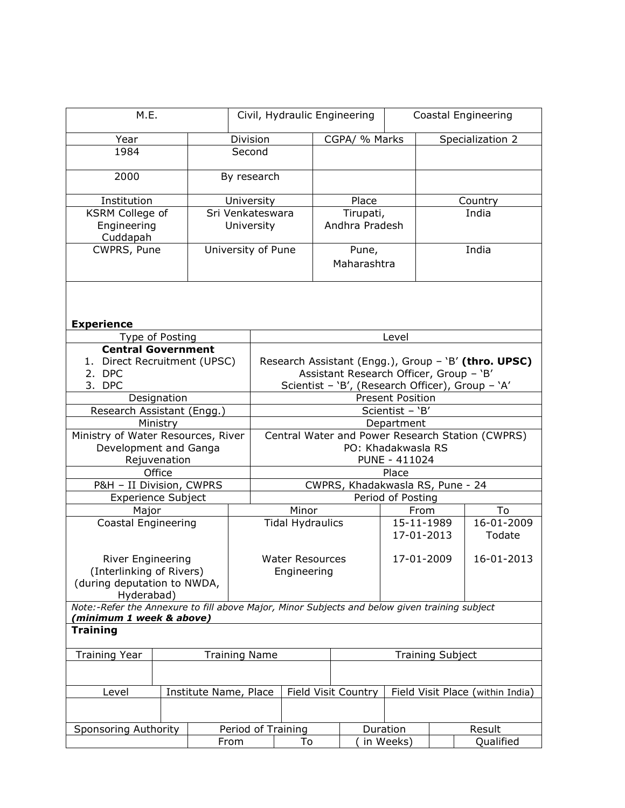| M.E.                                                                                                        |                        |  |            | Civil, Hydraulic Engineering                                           |                           |  |                          | Coastal Engineering                     |            |                                                      |
|-------------------------------------------------------------------------------------------------------------|------------------------|--|------------|------------------------------------------------------------------------|---------------------------|--|--------------------------|-----------------------------------------|------------|------------------------------------------------------|
| Year                                                                                                        |                        |  |            |                                                                        | CGPA/ % Marks<br>Division |  |                          |                                         |            | Specialization 2                                     |
| 1984                                                                                                        |                        |  | Second     |                                                                        |                           |  |                          |                                         |            |                                                      |
|                                                                                                             |                        |  |            |                                                                        |                           |  |                          |                                         |            |                                                      |
| 2000                                                                                                        | By research            |  |            |                                                                        |                           |  |                          |                                         |            |                                                      |
| Institution                                                                                                 |                        |  | University |                                                                        |                           |  | Place                    |                                         |            | Country                                              |
| <b>KSRM College of</b>                                                                                      |                        |  |            | Sri Venkateswara                                                       |                           |  | Tirupati,                |                                         |            | India                                                |
| Engineering                                                                                                 |                        |  | University |                                                                        |                           |  | Andhra Pradesh           |                                         |            |                                                      |
| Cuddapah                                                                                                    |                        |  |            |                                                                        |                           |  |                          |                                         |            |                                                      |
| CWPRS, Pune                                                                                                 |                        |  |            | University of Pune                                                     |                           |  | Pune,                    |                                         |            | India                                                |
|                                                                                                             |                        |  |            |                                                                        |                           |  | Maharashtra              |                                         |            |                                                      |
|                                                                                                             |                        |  |            |                                                                        |                           |  |                          |                                         |            |                                                      |
|                                                                                                             |                        |  |            |                                                                        |                           |  |                          |                                         |            |                                                      |
|                                                                                                             |                        |  |            |                                                                        |                           |  |                          |                                         |            |                                                      |
| <b>Experience</b><br>Type of Posting                                                                        |                        |  |            |                                                                        |                           |  |                          | Level                                   |            |                                                      |
| <b>Central Government</b>                                                                                   |                        |  |            |                                                                        |                           |  |                          |                                         |            |                                                      |
| 1. Direct Recruitment (UPSC)                                                                                |                        |  |            |                                                                        |                           |  |                          |                                         |            | Research Assistant (Engg.), Group - 'B' (thro. UPSC) |
| 2. DPC                                                                                                      |                        |  |            |                                                                        |                           |  |                          | Assistant Research Officer, Group - 'B' |            |                                                      |
| 3. DPC                                                                                                      |                        |  |            |                                                                        |                           |  |                          |                                         |            |                                                      |
|                                                                                                             | Designation            |  |            | Scientist - 'B', (Research Officer), Group - 'A'<br>Present Position   |                           |  |                          |                                         |            |                                                      |
| Research Assistant (Engg.)                                                                                  |                        |  |            |                                                                        |                           |  |                          | Scientist - 'B'                         |            |                                                      |
|                                                                                                             | Ministry               |  |            |                                                                        |                           |  |                          | Department                              |            |                                                      |
| Ministry of Water Resources, River                                                                          |                        |  |            |                                                                        |                           |  |                          |                                         |            |                                                      |
| Development and Ganga                                                                                       |                        |  |            | Central Water and Power Research Station (CWPRS)<br>PO: Khadakwasla RS |                           |  |                          |                                         |            |                                                      |
|                                                                                                             |                        |  |            | PUNE - 411024                                                          |                           |  |                          |                                         |            |                                                      |
|                                                                                                             | Rejuvenation<br>Office |  |            | Place                                                                  |                           |  |                          |                                         |            |                                                      |
|                                                                                                             |                        |  |            |                                                                        |                           |  |                          |                                         |            |                                                      |
| P&H - II Division, CWPRS                                                                                    |                        |  |            | CWPRS, Khadakwasla RS, Pune - 24                                       |                           |  |                          |                                         |            |                                                      |
| <b>Experience Subject</b>                                                                                   |                        |  |            | Period of Posting                                                      |                           |  |                          |                                         |            |                                                      |
| Major                                                                                                       |                        |  |            | Minor                                                                  |                           |  | From                     |                                         | To         |                                                      |
| Coastal Engineering                                                                                         |                        |  |            | <b>Tidal Hydraulics</b>                                                |                           |  | 15-11-1989<br>17-01-2013 |                                         | 16-01-2009 |                                                      |
|                                                                                                             |                        |  |            |                                                                        |                           |  |                          |                                         |            | Todate                                               |
|                                                                                                             |                        |  |            |                                                                        |                           |  |                          |                                         |            |                                                      |
| River Engineering                                                                                           |                        |  |            | <b>Water Resources</b><br>17-01-2009                                   |                           |  | 16-01-2013               |                                         |            |                                                      |
| (Interlinking of Rivers)                                                                                    |                        |  |            |                                                                        | Engineering               |  |                          |                                         |            |                                                      |
| (during deputation to NWDA,                                                                                 |                        |  |            |                                                                        |                           |  |                          |                                         |            |                                                      |
| Hyderabad)<br>Note:-Refer the Annexure to fill above Major, Minor Subjects and below given training subject |                        |  |            |                                                                        |                           |  |                          |                                         |            |                                                      |
| (minimum 1 week & above)                                                                                    |                        |  |            |                                                                        |                           |  |                          |                                         |            |                                                      |
| <b>Training</b>                                                                                             |                        |  |            |                                                                        |                           |  |                          |                                         |            |                                                      |
|                                                                                                             |                        |  |            |                                                                        |                           |  |                          |                                         |            |                                                      |
| <b>Training Year</b><br><b>Training Name</b>                                                                |                        |  |            |                                                                        |                           |  |                          | <b>Training Subject</b>                 |            |                                                      |
|                                                                                                             |                        |  |            |                                                                        |                           |  |                          |                                         |            |                                                      |
| Level                                                                                                       | Institute Name, Place  |  |            |                                                                        | Field Visit Country       |  |                          | Field Visit Place (within India)        |            |                                                      |
|                                                                                                             |                        |  |            |                                                                        |                           |  |                          |                                         |            |                                                      |
|                                                                                                             |                        |  |            |                                                                        |                           |  |                          |                                         |            |                                                      |
| Sponsoring Authority                                                                                        |                        |  |            |                                                                        | Period of Training        |  |                          | Duration                                |            | Result                                               |
|                                                                                                             |                        |  | From       |                                                                        | To                        |  |                          | in Weeks)                               |            | Qualified                                            |